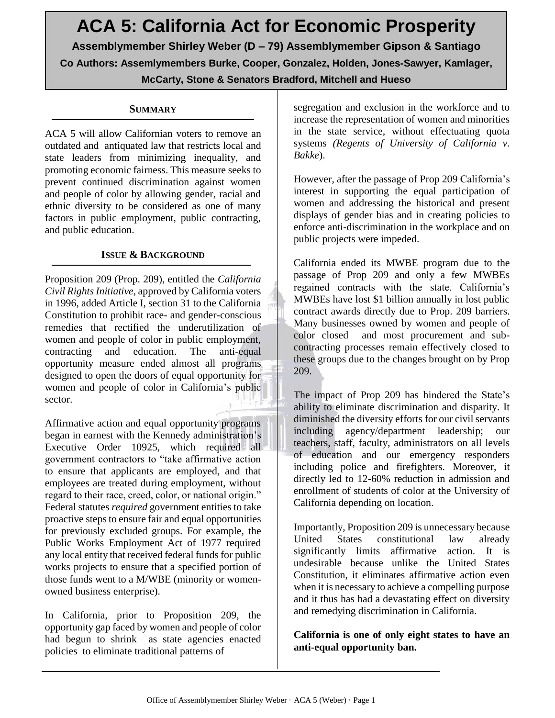# **ACA 5: California Act for Economic Prosperity Assemblymember Shirley Weber (D – 79) Assemblymember Gipson & Santiago Co Authors: Assemlymembers Burke, Cooper, Gonzalez, Holden, Jones-Sawyer, Kamlager,**

**McCarty, Stone & Senators Bradford, Mitchell and Hueso**

## **SUMMARY**

ACA 5 will allow Californian voters to remove an outdated and antiquated law that restricts local and state leaders from minimizing inequality, and promoting economic fairness. This measure seeks to prevent continued discrimination against women and people of color by allowing gender, racial and ethnic diversity to be considered as one of many factors in public employment, public contracting, and public education.

# **ISSUE & BACKGROUND**

Proposition 209 (Prop. 209), entitled the *California Civil Rights Initiative,* approved by California voters in 1996, added Article I, section 31 to the California Constitution to prohibit race- and gender-conscious remedies that rectified the underutilization of women and people of color in public employment, contracting and education. The anti-equal opportunity measure ended almost all programs designed to open the doors of equal opportunity for women and people of color in California's public sector.

Affirmative action and equal opportunity programs began in earnest with the Kennedy administration's Executive Order 10925, which required all government contractors to "take affirmative action to ensure that applicants are employed, and that employees are treated during employment, without regard to their race, creed, color, or national origin." Federal statutes *required* government entities to take proactive steps to ensure fair and equal opportunities for previously excluded groups. For example, the Public Works Employment Act of 1977 required any local entity that received federal funds for public works projects to ensure that a specified portion of those funds went to a M/WBE (minority or womenowned business enterprise).

In California, prior to Proposition 209, the opportunity gap faced by women and people of color had begun to shrink as state agencies enacted policies to eliminate traditional patterns of

segregation and exclusion in the workforce and to increase the representation of women and minorities in the state service, without effectuating quota systems *(Regents of University of California v. Bakke*).

However, after the passage of Prop 209 California's interest in supporting the equal participation of women and addressing the historical and present displays of gender bias and in creating policies to enforce anti-discrimination in the workplace and on public projects were impeded.

California ended its MWBE program due to the passage of Prop 209 and only a few MWBEs regained contracts with the state. California's MWBEs have lost \$1 billion annually in lost public contract awards directly due to Prop. 209 barriers. Many businesses owned by women and people of color closed and most procurement and subcontracting processes remain effectively closed to these groups due to the changes brought on by Prop 209.

The impact of Prop 209 has hindered the State's ability to eliminate discrimination and disparity. It diminished the diversity efforts for our civil servants including agency/department leadership; our teachers, staff, faculty, administrators on all levels of education and our emergency responders including police and firefighters. Moreover, it directly led to 12-60% reduction in admission and enrollment of students of color at the University of California depending on location.

Importantly, Proposition 209 is unnecessary because United States constitutional law already significantly limits affirmative action. It is undesirable because unlike the United States Constitution, it eliminates affirmative action even when it is necessary to achieve a compelling purpose and it thus has had a devastating effect on diversity and remedying discrimination in California.

**California is one of only eight states to have an anti-equal opportunity ban.**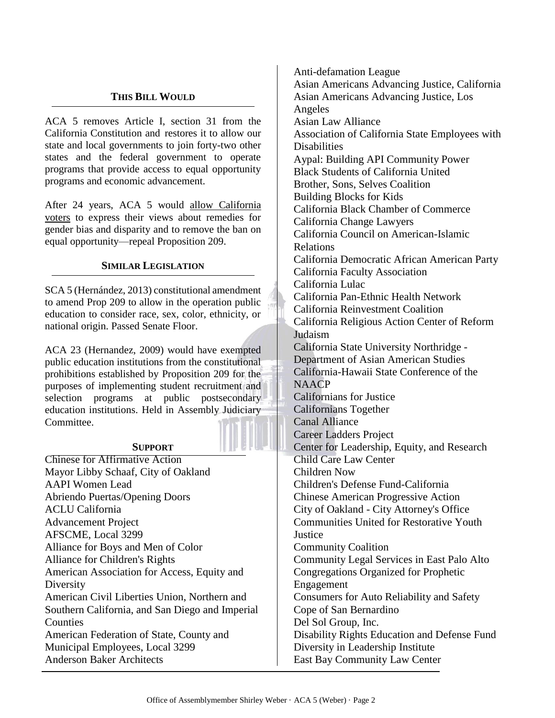## **THIS BILL WOULD**

ACA 5 removes Article I, section 31 from the California Constitution and restores it to allow our state and local governments to join forty-two other states and the federal government to operate programs that provide access to equal opportunity programs and economic advancement.

After 24 years, ACA 5 would allow California voters to express their views about remedies for gender bias and disparity and to remove the ban on equal opportunity—repeal Proposition 209.

#### **SIMILAR LEGISLATION**

SCA 5 (Hernández, 2013) constitutional amendment to amend Prop 209 to allow in the operation public education to consider race, sex, color, ethnicity, or national origin. Passed Senate Floor.

ACA 23 (Hernandez, 2009) would have exempted public education institutions from the constitutional prohibitions established by Proposition 209 for the purposes of implementing student recruitment and selection programs at public postsecondary education institutions. Held in Assembly Judiciary Committee.

### **SUPPORT**

Chinese for Affirmative Action Mayor Libby Schaaf, City of Oakland AAPI Women Lead Abriendo Puertas/Opening Doors ACLU California Advancement Project AFSCME, Local 3299 Alliance for Boys and Men of Color Alliance for Children's Rights American Association for Access, Equity and Diversity American Civil Liberties Union, Northern and Southern California, and San Diego and Imperial Counties American Federation of State, County and Municipal Employees, Local 3299 Anderson Baker Architects

Anti-defamation League Asian Americans Advancing Justice, California Asian Americans Advancing Justice, Los Angeles Asian Law Alliance Association of California State Employees with **Disabilities** Aypal: Building API Community Power Black Students of California United Brother, Sons, Selves Coalition Building Blocks for Kids California Black Chamber of Commerce California Change Lawyers California Council on American-Islamic Relations California Democratic African American Party California Faculty Association California Lulac California Pan-Ethnic Health Network California Reinvestment Coalition California Religious Action Center of Reform Judaism California State University Northridge - Department of Asian American Studies California-Hawaii State Conference of the **NAACP** Californians for Justice Californians Together Canal Alliance Career Ladders Project Center for Leadership, Equity, and Research Child Care Law Center Children Now Children's Defense Fund-California Chinese American Progressive Action City of Oakland - City Attorney's Office Communities United for Restorative Youth **Justice** Community Coalition Community Legal Services in East Palo Alto Congregations Organized for Prophetic Engagement Consumers for Auto Reliability and Safety Cope of San Bernardino Del Sol Group, Inc. Disability Rights Education and Defense Fund Diversity in Leadership Institute East Bay Community Law Center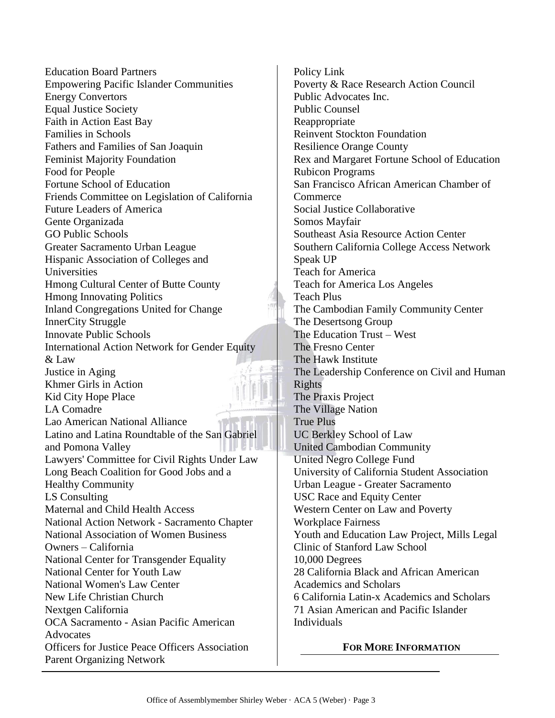Education Board Partners Empowering Pacific Islander Communities Energy Convertors Equal Justice Society Faith in Action East Bay Families in Schools Fathers and Families of San Joaquin Feminist Majority Foundation Food for People Fortune School of Education Friends Committee on Legislation of California Future Leaders of America Gente Organizada GO Public Schools Greater Sacramento Urban League Hispanic Association of Colleges and Universities Hmong Cultural Center of Butte County Hmong Innovating Politics Inland Congregations United for Change InnerCity Struggle Innovate Public Schools International Action Network for Gender Equity & Law Justice in Aging Khmer Girls in Action Kid City Hope Place LA Comadre Lao American National Alliance Latino and Latina Roundtable of the San Gabriel and Pomona Valley Lawyers' Committee for Civil Rights Under Law Long Beach Coalition for Good Jobs and a Healthy Community LS Consulting Maternal and Child Health Access National Action Network - Sacramento Chapter National Association of Women Business Owners – California National Center for Transgender Equality National Center for Youth Law National Women's Law Center New Life Christian Church Nextgen California OCA Sacramento - Asian Pacific American Advocates Officers for Justice Peace Officers Association Parent Organizing Network

Policy Link Poverty & Race Research Action Council Public Advocates Inc. Public Counsel Reappropriate Reinvent Stockton Foundation Resilience Orange County Rex and Margaret Fortune School of Education Rubicon Programs San Francisco African American Chamber of **Commerce** Social Justice Collaborative Somos Mayfair Southeast Asia Resource Action Center Southern California College Access Network Speak UP Teach for America Teach for America Los Angeles Teach Plus The Cambodian Family Community Center The Desertsong Group The Education Trust – West The Fresno Center The Hawk Institute The Leadership Conference on Civil and Human Rights The Praxis Project The Village Nation True Plus UC Berkley School of Law United Cambodian Community United Negro College Fund University of California Student Association Urban League - Greater Sacramento USC Race and Equity Center Western Center on Law and Poverty Workplace Fairness Youth and Education Law Project, Mills Legal Clinic of Stanford Law School 10,000 Degrees 28 California Black and African American Academics and Scholars 6 California Latin-x Academics and Scholars 71 Asian American and Pacific Islander Individuals

#### **FOR MORE INFORMATION**